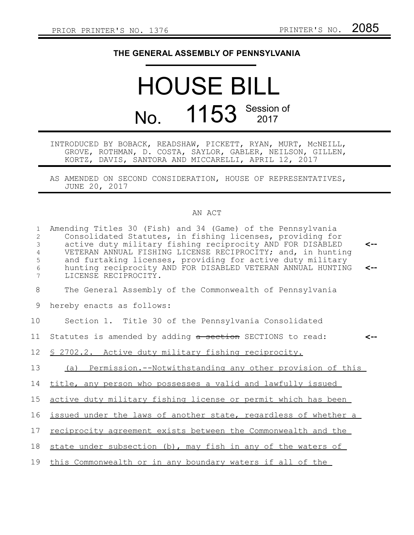## **THE GENERAL ASSEMBLY OF PENNSYLVANIA**

## HOUSE BILL No. 1153 Session of

## INTRODUCED BY BOBACK, READSHAW, PICKETT, RYAN, MURT, McNEILL, GROVE, ROTHMAN, D. COSTA, SAYLOR, GABLER, NEILSON, GILLEN, KORTZ, DAVIS, SANTORA AND MICCARELLI, APRIL 12, 2017

AS AMENDED ON SECOND CONSIDERATION, HOUSE OF REPRESENTATIVES, JUNE 20, 2017

## AN ACT

| $\mathbf{1}$<br>$\overline{2}$<br>3<br>$\overline{4}$<br>5<br>6<br>7 | Amending Titles 30 (Fish) and 34 (Game) of the Pennsylvania<br>Consolidated Statutes, in fishing licenses, providing for<br>active duty military fishing reciprocity AND FOR DISABLED<br>VETERAN ANNUAL FISHING LICENSE RECIPROCITY; and, in hunting<br>and furtaking licenses, providing for active duty military<br>hunting reciprocity AND FOR DISABLED VETERAN ANNUAL HUNTING<br>LICENSE RECIPROCITY. | ⊂--<br><-- |
|----------------------------------------------------------------------|-----------------------------------------------------------------------------------------------------------------------------------------------------------------------------------------------------------------------------------------------------------------------------------------------------------------------------------------------------------------------------------------------------------|------------|
| 8                                                                    | The General Assembly of the Commonwealth of Pennsylvania                                                                                                                                                                                                                                                                                                                                                  |            |
| 9                                                                    | hereby enacts as follows:                                                                                                                                                                                                                                                                                                                                                                                 |            |
| 10                                                                   | Section 1. Title 30 of the Pennsylvania Consolidated                                                                                                                                                                                                                                                                                                                                                      |            |
| 11                                                                   | Statutes is amended by adding a section SECTIONS to read:                                                                                                                                                                                                                                                                                                                                                 |            |
| 12                                                                   | \$ 2702.2. Active duty military fishing reciprocity.                                                                                                                                                                                                                                                                                                                                                      |            |
| 13                                                                   | (a) Permission.--Notwithstanding any other provision of this                                                                                                                                                                                                                                                                                                                                              |            |
| 14                                                                   | title, any person who possesses a valid and lawfully issued                                                                                                                                                                                                                                                                                                                                               |            |
| 15                                                                   | active duty military fishing license or permit which has been                                                                                                                                                                                                                                                                                                                                             |            |
| 16                                                                   | issued under the laws of another state, regardless of whether a                                                                                                                                                                                                                                                                                                                                           |            |
| 17                                                                   | reciprocity agreement exists between the Commonwealth and the                                                                                                                                                                                                                                                                                                                                             |            |
| 18                                                                   | state under subsection (b), may fish in any of the waters of                                                                                                                                                                                                                                                                                                                                              |            |
| 19                                                                   | this Commonwealth or in any boundary waters if all of the                                                                                                                                                                                                                                                                                                                                                 |            |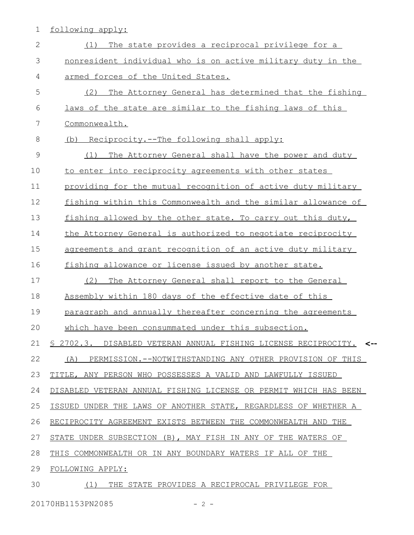1 following apply:

| $\mathbf{2}$  | The state provides a reciprocal privilege for a<br>(1)            |
|---------------|-------------------------------------------------------------------|
| 3             | nonresident individual who is on active military duty in the      |
| 4             | armed forces of the United States.                                |
| 5             | The Attorney General has determined that the fishing<br>(2)       |
| 6             | laws of the state are similar to the fishing laws of this         |
| 7             | Commonwealth.                                                     |
| 8             | (b) Reciprocity.--The following shall apply:                      |
| $\mathcal{G}$ | The Attorney General shall have the power and duty<br>(1)         |
| 10            | to enter into reciprocity agreements with other states            |
| 11            | providing for the mutual recognition of active duty military      |
| 12            | fishing within this Commonwealth and the similar allowance of     |
| 13            | fishing allowed by the other state. To carry out this duty,       |
| 14            | the Attorney General is authorized to negotiate reciprocity       |
| 15            | agreements and grant recognition of an active duty military       |
| 16            | fishing allowance or license issued by another state.             |
| 17            | The Attorney General shall report to the General<br>(2)           |
| 18            | Assembly within 180 days of the effective date of this            |
| 19            | paragraph and annually thereafter concerning the agreements       |
| 20            | which have been consummated under this subsection.                |
|               | 21 § 2702.3. DISABLED VETERAN ANNUAL FISHING LICENSE RECIPROCITY. |
| 22            | PERMISSION.--NOTWITHSTANDING ANY OTHER PROVISION OF THIS<br>(A)   |
| 23            | TITLE, ANY PERSON WHO POSSESSES A VALID AND LAWFULLY ISSUED       |
| 24            | DISABLED VETERAN ANNUAL FISHING LICENSE OR PERMIT WHICH HAS BEEN  |
| 25            | ISSUED UNDER THE LAWS OF ANOTHER STATE, REGARDLESS OF WHETHER A   |
| 26            | RECIPROCITY AGREEMENT EXISTS BETWEEN THE COMMONWEALTH AND THE     |
| 27            | STATE UNDER SUBSECTION (B), MAY FISH IN ANY OF THE WATERS OF      |
| 28            | THIS COMMONWEALTH OR IN ANY BOUNDARY WATERS IF ALL OF THE         |
| 29            | FOLLOWING APPLY:                                                  |
| 30            | (1)<br>THE STATE PROVIDES A RECIPROCAL PRIVILEGE FOR              |

20170HB1153PN2085 - 2 -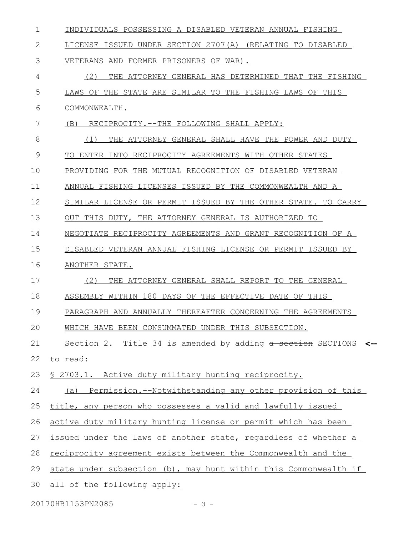| 1  | INDIVIDUALS POSSESSING A DISABLED VETERAN ANNUAL FISHING             |
|----|----------------------------------------------------------------------|
| 2  | LICENSE ISSUED UNDER SECTION 2707(A) (RELATING TO DISABLED           |
| 3  | VETERANS AND FORMER PRISONERS OF WAR).                               |
| 4  | (2)<br>THE ATTORNEY GENERAL HAS DETERMINED THAT THE FISHING          |
| 5  | LAWS OF THE STATE ARE SIMILAR TO THE FISHING LAWS OF THIS            |
| 6  | COMMONWEALTH.                                                        |
| 7  | (B)<br>RECIPROCITY. -- THE FOLLOWING SHALL APPLY:                    |
| 8  | THE ATTORNEY GENERAL SHALL HAVE THE POWER AND DUTY<br>(1)            |
| 9  | TO ENTER INTO RECIPROCITY AGREEMENTS WITH OTHER STATES               |
| 10 | PROVIDING FOR THE MUTUAL RECOGNITION OF DISABLED VETERAN             |
| 11 | ANNUAL FISHING LICENSES ISSUED BY THE COMMONWEALTH AND A             |
| 12 | SIMILAR LICENSE OR PERMIT ISSUED BY THE OTHER STATE. TO CARRY        |
| 13 | OUT THIS DUTY, THE ATTORNEY GENERAL IS AUTHORIZED TO                 |
| 14 | NEGOTIATE RECIPROCITY AGREEMENTS AND GRANT RECOGNITION OF A          |
| 15 | DISABLED VETERAN ANNUAL FISHING LICENSE OR PERMIT ISSUED BY          |
| 16 | ANOTHER STATE.                                                       |
| 17 | (2)<br>THE ATTORNEY GENERAL SHALL REPORT TO THE GENERAL              |
| 18 | ASSEMBLY WITHIN 180 DAYS OF THE EFFECTIVE DATE OF THIS               |
| 19 | PARAGRAPH AND ANNUALLY THEREAFTER CONCERNING THE AGREEMENTS          |
| 20 | WHICH HAVE BEEN CONSUMMATED UNDER THIS SUBSECTION.                   |
| 21 | Section 2. Title 34 is amended by adding a section SECTIONS <--      |
| 22 | to read:                                                             |
| 23 | <u>S 2703.1. Active duty military hunting reciprocity.</u>           |
| 24 | (a) Permission.--Notwithstanding any other provision of this         |
| 25 | title, any person who possesses a valid and lawfully issued          |
| 26 | active duty military hunting license or permit which has been        |
| 27 | issued under the laws of another state, regardless of whether a      |
| 28 | <u>reciprocity agreement exists between the Commonwealth and the</u> |
| 29 | state under subsection (b), may hunt within this Commonwealth if     |
| 30 | all of the following apply:                                          |
|    |                                                                      |

20170HB1153PN2085 - 3 -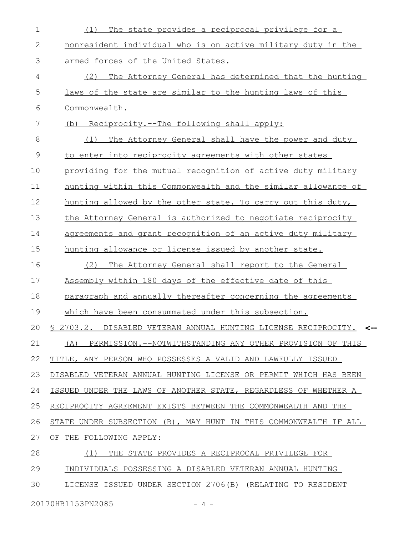| $\mathbf 1$  | The state provides a reciprocal privilege for a<br>(1)             |
|--------------|--------------------------------------------------------------------|
| $\mathbf{2}$ | nonresident individual who is on active military duty in the       |
| 3            | armed forces of the United States.                                 |
| 4            | The Attorney General has determined that the hunting<br>(2)        |
| 5            | laws of the state are similar to the hunting laws of this          |
| 6            | Commonwealth.                                                      |
| 7            | (b) Reciprocity.--The following shall apply:                       |
| 8            | The Attorney General shall have the power and duty<br>(1)          |
| 9            | to enter into reciprocity agreements with other states             |
| 10           | providing for the mutual recognition of active duty military       |
| 11           | hunting within this Commonwealth and the similar allowance of      |
| 12           | hunting allowed by the other state. To carry out this duty,        |
| 13           | the Attorney General is authorized to negotiate reciprocity        |
| 14           | agreements and grant recognition of an active duty military        |
| 15           | hunting allowance or license issued by another state.              |
| 16           | The Attorney General shall report to the General<br>(2)            |
| 17           | Assembly within 180 days of the effective date of this             |
| 18           | paragraph and annually thereafter concerning the agreements        |
| 19           | which have been consummated under this subsection.                 |
| 20           | § 2703.2. DISABLED VETERAN ANNUAL HUNTING LICENSE RECIPROCITY. <-- |
| 21           | PERMISSION.--NOTWITHSTANDING ANY OTHER PROVISION OF THIS<br>(A)    |
| 22           | TITLE, ANY PERSON WHO POSSESSES A VALID AND LAWFULLY ISSUED        |
| 23           | DISABLED VETERAN ANNUAL HUNTING LICENSE OR PERMIT WHICH HAS BEEN   |
| 24           | ISSUED UNDER THE LAWS OF ANOTHER STATE, REGARDLESS OF WHETHER A    |
| 25           | RECIPROCITY AGREEMENT EXISTS BETWEEN THE COMMONWEALTH AND THE      |
| 26           | STATE UNDER SUBSECTION (B), MAY HUNT IN THIS COMMONWEALTH IF ALL   |
| 27           | OF THE FOLLOWING APPLY:                                            |
| 28           | THE STATE PROVIDES A RECIPROCAL PRIVILEGE FOR<br>(1)               |
| 29           | INDIVIDUALS POSSESSING A DISABLED VETERAN ANNUAL HUNTING           |
| 30           | LICENSE ISSUED UNDER SECTION 2706(B) (RELATING TO RESIDENT         |